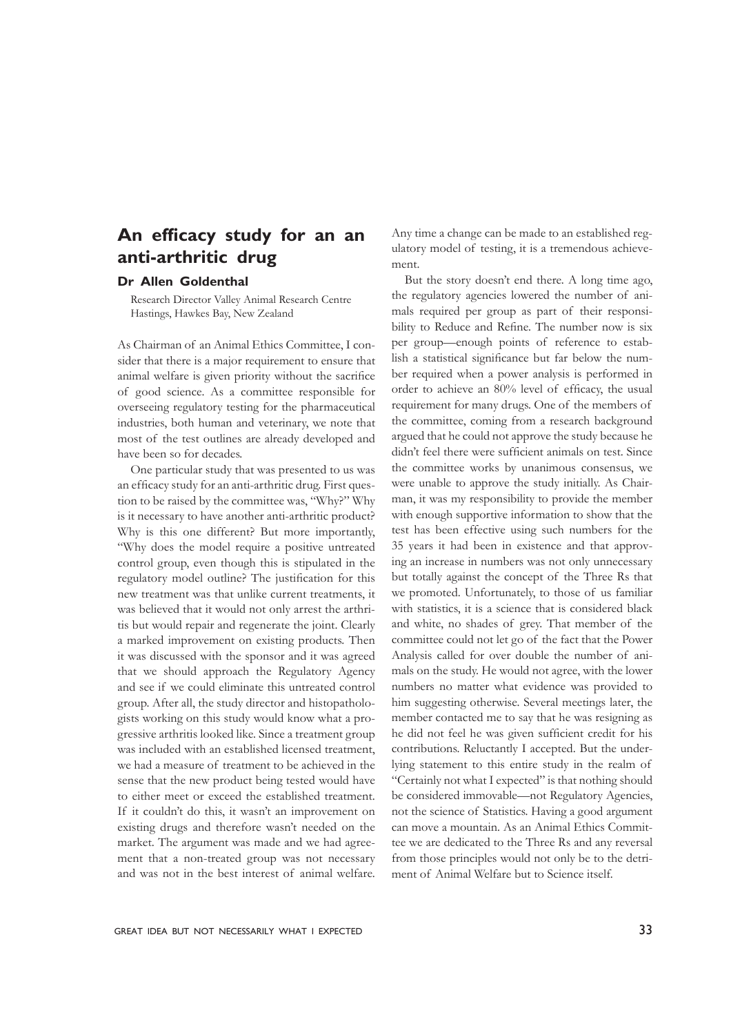## **An efficacy study for an an anti-arthritic drug**

### **Dr Allen Goldenthal**

Research Director Valley Animal Research Centre Hastings, Hawkes Bay, New Zealand

As Chairman of an Animal Ethics Committee, I consider that there is a major requirement to ensure that animal welfare is given priority without the sacrifice of good science. As a committee responsible for overseeing regulatory testing for the pharmaceutical industries, both human and veterinary, we note that most of the test outlines are already developed and have been so for decades.

One particular study that was presented to us was an efficacy study for an anti-arthritic drug. First question to be raised by the committee was, "Why?" Why is it necessary to have another anti-arthritic product? Why is this one different? But more importantly, "Why does the model require a positive untreated control group, even though this is stipulated in the regulatory model outline? The justification for this new treatment was that unlike current treatments, it was believed that it would not only arrest the arthritis but would repair and regenerate the joint. Clearly a marked improvement on existing products. Then it was discussed with the sponsor and it was agreed that we should approach the Regulatory Agency and see if we could eliminate this untreated control group. After all, the study director and histopathologists working on this study would know what a progressive arthritis looked like. Since a treatment group was included with an established licensed treatment, we had a measure of treatment to be achieved in the sense that the new product being tested would have to either meet or exceed the established treatment. If it couldn't do this, it wasn't an improvement on existing drugs and therefore wasn't needed on the market. The argument was made and we had agreement that a non-treated group was not necessary and was not in the best interest of animal welfare. Any time a change can be made to an established regulatory model of testing, it is a tremendous achievement.

But the story doesn't end there. A long time ago, the regulatory agencies lowered the number of animals required per group as part of their responsibility to Reduce and Refine. The number now is six per group—enough points of reference to establish a statistical significance but far below the number required when a power analysis is performed in order to achieve an 80% level of efficacy, the usual requirement for many drugs. One of the members of the committee, coming from a research background argued that he could not approve the study because he didn't feel there were sufficient animals on test. Since the committee works by unanimous consensus, we were unable to approve the study initially. As Chairman, it was my responsibility to provide the member with enough supportive information to show that the test has been effective using such numbers for the 35 years it had been in existence and that approving an increase in numbers was not only unnecessary but totally against the concept of the Three Rs that we promoted. Unfortunately, to those of us familiar with statistics, it is a science that is considered black and white, no shades of grey. That member of the committee could not let go of the fact that the Power Analysis called for over double the number of animals on the study. He would not agree, with the lower numbers no matter what evidence was provided to him suggesting otherwise. Several meetings later, the member contacted me to say that he was resigning as he did not feel he was given sufficient credit for his contributions. Reluctantly I accepted. But the underlying statement to this entire study in the realm of "Certainly not what I expected" is that nothing should be considered immovable—not Regulatory Agencies, not the science of Statistics. Having a good argument can move a mountain. As an Animal Ethics Committee we are dedicated to the Three Rs and any reversal from those principles would not only be to the detriment of Animal Welfare but to Science itself.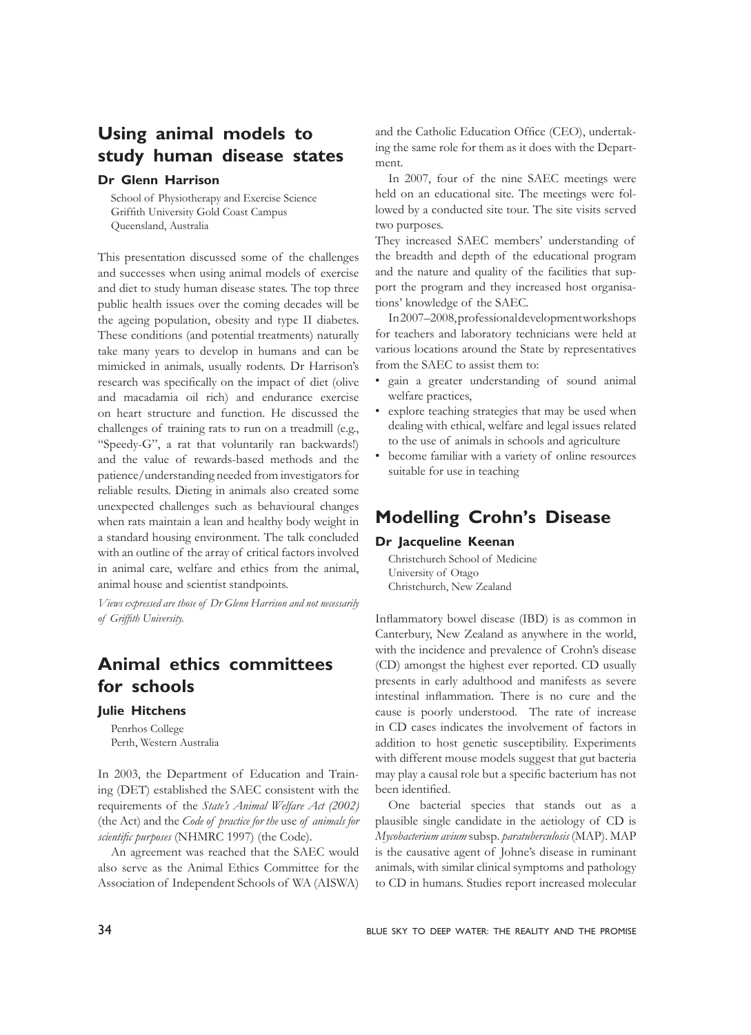# **Using animal models to study human disease states**

### **Dr Glenn Harrison**

School of Physiotherapy and Exercise Science Griffith University Gold Coast Campus Queensland, Australia

This presentation discussed some of the challenges and successes when using animal models of exercise and diet to study human disease states. The top three public health issues over the coming decades will be the ageing population, obesity and type II diabetes. These conditions (and potential treatments) naturally take many years to develop in humans and can be mimicked in animals, usually rodents. Dr Harrison's research was specifically on the impact of diet (olive and macadamia oil rich) and endurance exercise on heart structure and function. He discussed the challenges of training rats to run on a treadmill (e.g., "Speedy-G", a rat that voluntarily ran backwards!) and the value of rewards-based methods and the patience/understanding needed from investigators for reliable results. Dieting in animals also created some unexpected challenges such as behavioural changes when rats maintain a lean and healthy body weight in a standard housing environment. The talk concluded with an outline of the array of critical factors involved in animal care, welfare and ethics from the animal, animal house and scientist standpoints.

*Views expressed are those of Dr Glenn Harrison and not necessarily of Griffith University.*

## **Animal ethics committees for schools**

#### **Julie Hitchens**

Penrhos College Perth, Western Australia

In 2003, the Department of Education and Training (DET) established the SAEC consistent with the requirements of the *State's Animal Welfare Act (2002)*  (the Act) and the *Code of practice for the* use *of animals for scientific purposes* (NHMRC 1997) (the Code).

An agreement was reached that the SAEC would also serve as the Animal Ethics Committee for the Association of Independent Schools of WA (AISWA)

and the Catholic Education Office (CEO), undertaking the same role for them as it does with the Department.

In 2007, four of the nine SAEC meetings were held on an educational site. The meetings were followed by a conducted site tour. The site visits served two purposes.

They increased SAEC members' understanding of the breadth and depth of the educational program and the nature and quality of the facilities that support the program and they increased host organisations' knowledge of the SAEC.

In 2007–2008, professional development workshops for teachers and laboratory technicians were held at various locations around the State by representatives from the SAEC to assist them to:

- gain a greater understanding of sound animal welfare practices,
- explore teaching strategies that may be used when dealing with ethical, welfare and legal issues related to the use of animals in schools and agriculture
- become familiar with a variety of online resources suitable for use in teaching

## **Modelling Crohn's Disease**

#### **Dr Jacqueline Keenan**

Christchurch School of Medicine University of Otago Christchurch, New Zealand

Inflammatory bowel disease (IBD) is as common in Canterbury, New Zealand as anywhere in the world, with the incidence and prevalence of Crohn's disease (CD) amongst the highest ever reported. CD usually presents in early adulthood and manifests as severe intestinal inflammation. There is no cure and the cause is poorly understood. The rate of increase in CD cases indicates the involvement of factors in addition to host genetic susceptibility. Experiments with different mouse models suggest that gut bacteria may play a causal role but a specific bacterium has not been identified.

One bacterial species that stands out as a plausible single candidate in the aetiology of CD is *Mycobacterium avium* subsp*. paratuberculosis* (MAP). MAP is the causative agent of Johne's disease in ruminant animals, with similar clinical symptoms and pathology to CD in humans. Studies report increased molecular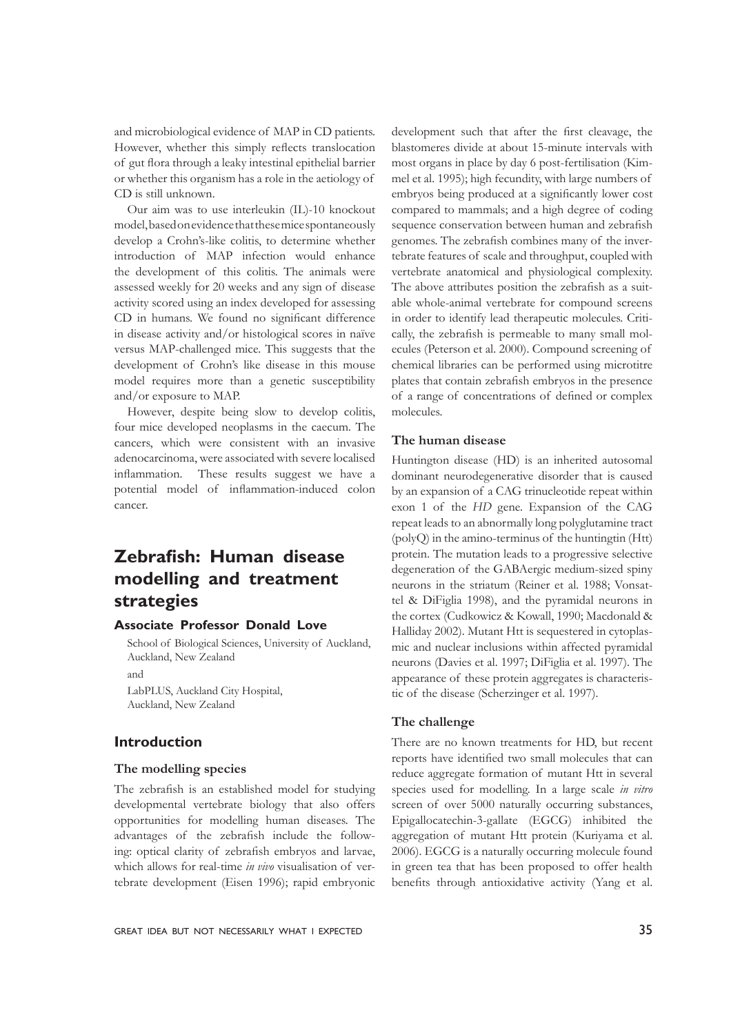and microbiological evidence of MAP in CD patients. However, whether this simply reflects translocation of gut flora through a leaky intestinal epithelial barrier or whether this organism has a role in the aetiology of CD is still unknown.

Our aim was to use interleukin (IL)-10 knockout model, based on evidence that these mice spontaneously develop a Crohn's-like colitis, to determine whether introduction of MAP infection would enhance the development of this colitis. The animals were assessed weekly for 20 weeks and any sign of disease activity scored using an index developed for assessing CD in humans. We found no significant difference in disease activity and/or histological scores in naïve versus MAP-challenged mice. This suggests that the development of Crohn's like disease in this mouse model requires more than a genetic susceptibility and/or exposure to MAP.

However, despite being slow to develop colitis, four mice developed neoplasms in the caecum. The cancers, which were consistent with an invasive adenocarcinoma, were associated with severe localised inflammation. These results suggest we have a potential model of inflammation-induced colon cancer.

### **Zebrafish: Human disease modelling and treatment strategies**

### **Associate Professor Donald Love**

School of Biological Sciences, University of Auckland, Auckland, New Zealand

and

LabPLUS, Auckland City Hospital, Auckland, New Zealand

#### **Introduction**

#### **The modelling species**

The zebrafish is an established model for studying developmental vertebrate biology that also offers opportunities for modelling human diseases. The advantages of the zebrafish include the following: optical clarity of zebrafish embryos and larvae, which allows for real-time *in vivo* visualisation of vertebrate development (Eisen 1996); rapid embryonic

most organs in place by day 6 post-fertilisation (Kimmel et al. 1995); high fecundity, with large numbers of embryos being produced at a significantly lower cost compared to mammals; and a high degree of coding sequence conservation between human and zebrafish genomes. The zebrafish combines many of the invertebrate features of scale and throughput, coupled with vertebrate anatomical and physiological complexity. The above attributes position the zebrafish as a suitable whole-animal vertebrate for compound screens in order to identify lead therapeutic molecules. Critically, the zebrafish is permeable to many small molecules (Peterson et al. 2000). Compound screening of chemical libraries can be performed using microtitre plates that contain zebrafish embryos in the presence of a range of concentrations of defined or complex molecules.

development such that after the first cleavage, the blastomeres divide at about 15-minute intervals with

#### **The human disease**

Huntington disease (HD) is an inherited autosomal dominant neurodegenerative disorder that is caused by an expansion of a CAG trinucleotide repeat within exon 1 of the *HD* gene. Expansion of the CAG repeat leads to an abnormally long polyglutamine tract (polyQ) in the amino-terminus of the huntingtin (Htt) protein. The mutation leads to a progressive selective degeneration of the GABAergic medium-sized spiny neurons in the striatum (Reiner et al. 1988; Vonsattel & DiFiglia 1998), and the pyramidal neurons in the cortex (Cudkowicz & Kowall, 1990; Macdonald & Halliday 2002). Mutant Htt is sequestered in cytoplasmic and nuclear inclusions within affected pyramidal neurons (Davies et al. 1997; DiFiglia et al. 1997). The appearance of these protein aggregates is characteristic of the disease (Scherzinger et al. 1997).

#### **The challenge**

There are no known treatments for HD, but recent reports have identified two small molecules that can reduce aggregate formation of mutant Htt in several species used for modelling. In a large scale *in vitro* screen of over 5000 naturally occurring substances, Epigallocatechin-3-gallate (EGCG) inhibited the aggregation of mutant Htt protein (Kuriyama et al. 2006). EGCG is a naturally occurring molecule found in green tea that has been proposed to offer health benefits through antioxidative activity (Yang et al.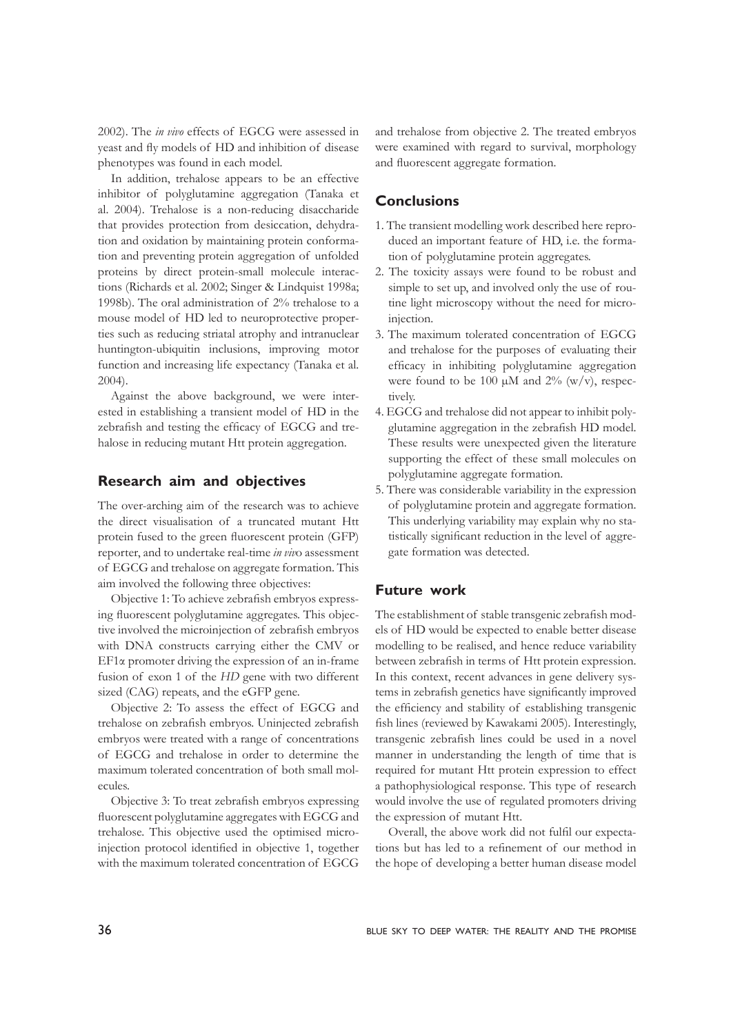2002). The *in vivo* effects of EGCG were assessed in yeast and fly models of HD and inhibition of disease phenotypes was found in each model.

In addition, trehalose appears to be an effective inhibitor of polyglutamine aggregation (Tanaka et al. 2004). Trehalose is a non-reducing disaccharide that provides protection from desiccation, dehydration and oxidation by maintaining protein conformation and preventing protein aggregation of unfolded proteins by direct protein-small molecule interactions (Richards et al. 2002; Singer & Lindquist 1998a; 1998b). The oral administration of 2% trehalose to a mouse model of HD led to neuroprotective properties such as reducing striatal atrophy and intranuclear huntington-ubiquitin inclusions, improving motor function and increasing life expectancy (Tanaka et al. 2004).

Against the above background, we were interested in establishing a transient model of HD in the zebrafish and testing the efficacy of EGCG and trehalose in reducing mutant Htt protein aggregation.

#### **Research aim and objectives**

The over-arching aim of the research was to achieve the direct visualisation of a truncated mutant Htt protein fused to the green fluorescent protein (GFP) reporter, and to undertake real-time *in viv*o assessment of EGCG and trehalose on aggregate formation. This aim involved the following three objectives:

Objective 1: To achieve zebrafish embryos expressing fluorescent polyglutamine aggregates. This objective involved the microinjection of zebrafish embryos with DNA constructs carrying either the CMV or EF1α promoter driving the expression of an in-frame fusion of exon 1 of the *HD* gene with two different sized (CAG) repeats, and the eGFP gene.

Objective 2: To assess the effect of EGCG and trehalose on zebrafish embryos. Uninjected zebrafish embryos were treated with a range of concentrations of EGCG and trehalose in order to determine the maximum tolerated concentration of both small molecules.

Objective 3: To treat zebrafish embryos expressing fluorescent polyglutamine aggregates with EGCG and trehalose. This objective used the optimised microinjection protocol identified in objective 1, together with the maximum tolerated concentration of EGCG

and trehalose from objective 2. The treated embryos were examined with regard to survival, morphology and fluorescent aggregate formation.

### **Conclusions**

- 1. The transient modelling work described here reproduced an important feature of HD, i.e. the formation of polyglutamine protein aggregates.
- 2. The toxicity assays were found to be robust and simple to set up, and involved only the use of routine light microscopy without the need for microinjection.
- 3. The maximum tolerated concentration of EGCG and trehalose for the purposes of evaluating their efficacy in inhibiting polyglutamine aggregation were found to be 100  $\mu$ M and 2% (w/v), respectively.
- 4. EGCG and trehalose did not appear to inhibit polyglutamine aggregation in the zebrafish HD model. These results were unexpected given the literature supporting the effect of these small molecules on polyglutamine aggregate formation.
- 5. There was considerable variability in the expression of polyglutamine protein and aggregate formation. This underlying variability may explain why no statistically significant reduction in the level of aggregate formation was detected.

#### **Future work**

The establishment of stable transgenic zebrafish models of HD would be expected to enable better disease modelling to be realised, and hence reduce variability between zebrafish in terms of Htt protein expression. In this context, recent advances in gene delivery systems in zebrafish genetics have significantly improved the efficiency and stability of establishing transgenic fish lines (reviewed by Kawakami 2005). Interestingly, transgenic zebrafish lines could be used in a novel manner in understanding the length of time that is required for mutant Htt protein expression to effect a pathophysiological response. This type of research would involve the use of regulated promoters driving the expression of mutant Htt.

Overall, the above work did not fulfil our expectations but has led to a refinement of our method in the hope of developing a better human disease model